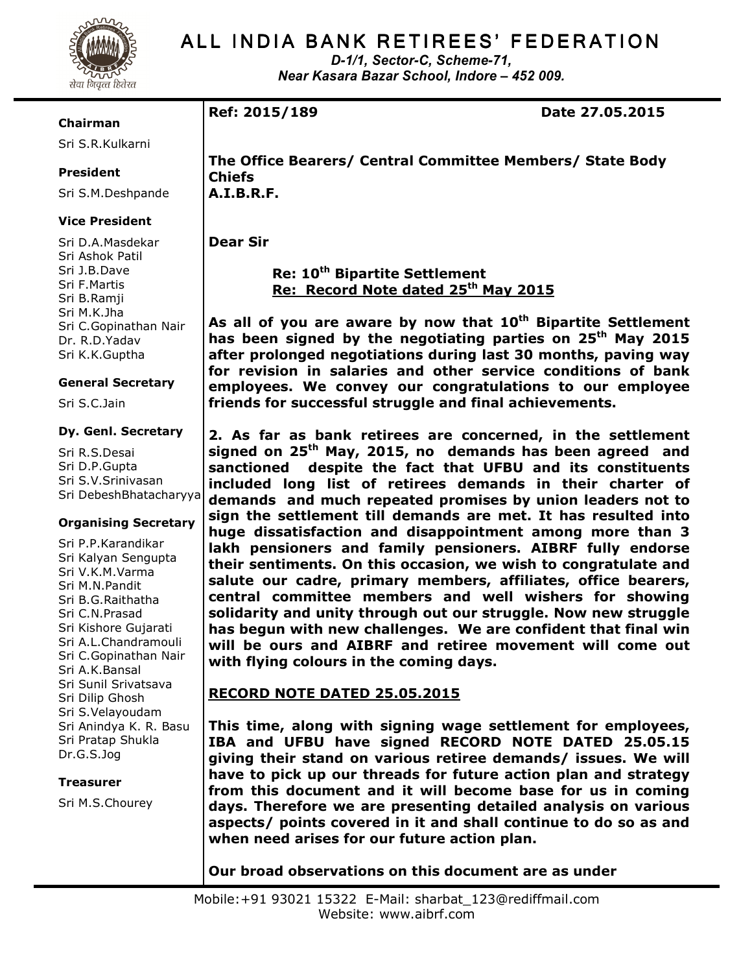

D-1/1, Sector-C, Scheme-71, Near Kasara Bazar School, Indore – 452 009.

#### Chairman

Sri S.R.Kulkarni

# President

Sri S.M.Deshpande

# Vice President

Sri D.A.Masdekar Sri Ashok Patil Sri J.B.Dave Sri F.Martis Sri B.Ramji Sri M.K.Jha Sri C.Gopinathan Nair Dr. R.D.Yadav Sri K.K.Guptha

#### General Secretary

Sri S.C.Jain

#### Dy. Genl. Secretary

Sri R.S.Desai Sri D.P.Gupta Sri S.V.Srinivasan Sri DebeshBhatacharyya

#### Organising Secretary

Sri P.P.Karandikar Sri Kalyan Sengupta Sri V.K.M.Varma Sri M.N.Pandit Sri B.G.Raithatha Sri C.N.Prasad Sri Kishore Gujarati Sri A.L.Chandramouli Sri C.Gopinathan Nair Sri A.K.Bansal Sri Sunil Srivatsava Sri Dilip Ghosh Sri S.Velayoudam Sri Anindya K. R. Basu Sri Pratap Shukla Dr.G.S.Jog

#### Treasurer

Sri M.S.Chourey

Ref: 2015/189 Date 27.05.2015

The Office Bearers/ Central Committee Members/ State Body Chiefs A.I.B.R.F.

Dear Sir

Re: 10<sup>th</sup> Bipartite Settlement Re: Record Note dated 25<sup>th</sup> May 2015

As all of you are aware by now that  $10<sup>th</sup>$  Bipartite Settlement has been signed by the negotiating parties on 25<sup>th</sup> May 2015 after prolonged negotiations during last 30 months, paving way for revision in salaries and other service conditions of bank employees. We convey our congratulations to our employee friends for successful struggle and final achievements.

2. As far as bank retirees are concerned, in the settlement signed on 25<sup>th</sup> May, 2015, no demands has been agreed and sanctioned despite the fact that UFBU and its constituents included long list of retirees demands in their charter of demands and much repeated promises by union leaders not to sign the settlement till demands are met. It has resulted into huge dissatisfaction and disappointment among more than 3 lakh pensioners and family pensioners. AIBRF fully endorse their sentiments. On this occasion, we wish to congratulate and salute our cadre, primary members, affiliates, office bearers, central committee members and well wishers for showing solidarity and unity through out our struggle. Now new struggle has begun with new challenges. We are confident that final win will be ours and AIBRF and retiree movement will come out with flying colours in the coming days.

# RECORD NOTE DATED 25.05.2015

This time, along with signing wage settlement for employees, IBA and UFBU have signed RECORD NOTE DATED 25.05.15 giving their stand on various retiree demands/ issues. We will have to pick up our threads for future action plan and strategy from this document and it will become base for us in coming days. Therefore we are presenting detailed analysis on various aspects/ points covered in it and shall continue to do so as and when need arises for our future action plan.

Our broad observations on this document are as under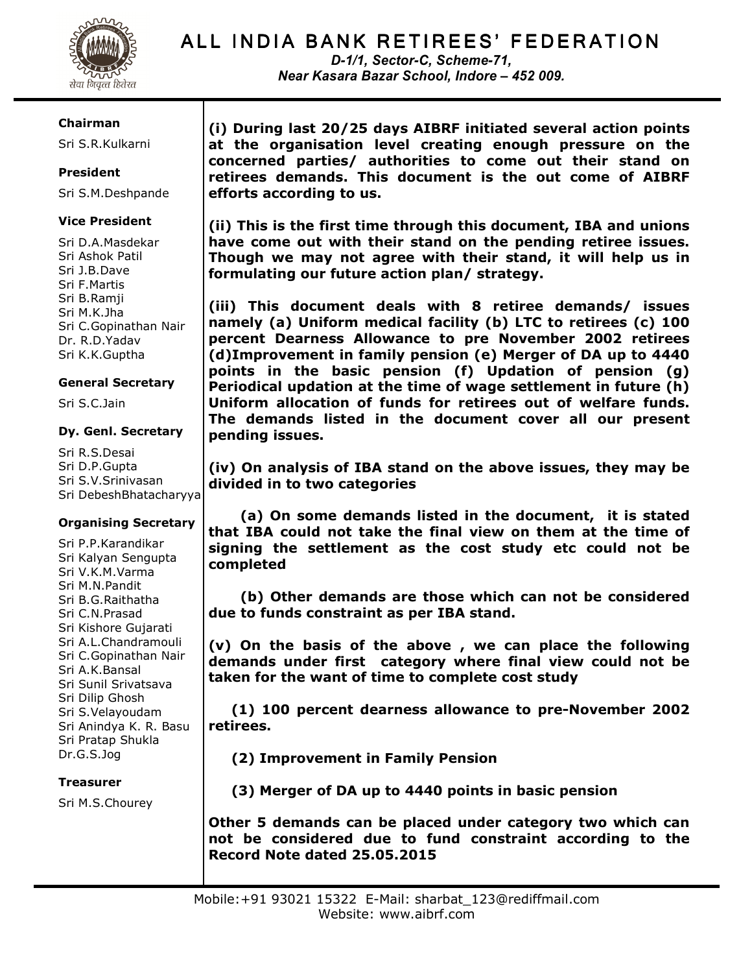

D-1/1, Sector-C, Scheme-71, Near Kasara Bazar School, Indore – 452 009.

#### Chairman

Sri S.R.Kulkarni

# President

Sri S.M.Deshpande

# Vice President

Sri D.A.Masdekar Sri Ashok Patil Sri J.B.Dave Sri F.Martis Sri B.Ramji Sri M.K.Jha Sri C.Gopinathan Nair Dr. R.D.Yadav Sri K.K.Guptha

#### General Secretary

Sri S.C.Jain

#### Dy. Genl. Secretary

Sri R.S.Desai Sri D.P.Gupta Sri S.V.Srinivasan Sri DebeshBhatacharyya

# Organising Secretary

Sri P.P.Karandikar Sri Kalyan Sengupta Sri V.K.M.Varma Sri M.N.Pandit Sri B.G.Raithatha Sri C.N.Prasad Sri Kishore Gujarati Sri A.L.Chandramouli Sri C.Gopinathan Nair Sri A.K.Bansal Sri Sunil Srivatsava Sri Dilip Ghosh Sri S.Velayoudam Sri Anindya K. R. Basu Sri Pratap Shukla Dr.G.S.Jog

#### Treasurer

Sri M.S.Chourey

(i) During last 20/25 days AIBRF initiated several action points at the organisation level creating enough pressure on the concerned parties/ authorities to come out their stand on retirees demands. This document is the out come of AIBRF efforts according to us.

(ii) This is the first time through this document, IBA and unions have come out with their stand on the pending retiree issues. Though we may not agree with their stand, it will help us in formulating our future action plan/ strategy.

(iii) This document deals with 8 retiree demands/ issues namely (a) Uniform medical facility (b) LTC to retirees (c) 100 percent Dearness Allowance to pre November 2002 retirees (d)Improvement in family pension (e) Merger of DA up to 4440 points in the basic pension (f) Updation of pension (g) Periodical updation at the time of wage settlement in future (h) Uniform allocation of funds for retirees out of welfare funds. The demands listed in the document cover all our present pending issues.

(iv) On analysis of IBA stand on the above issues, they may be divided in to two categories

 (a) On some demands listed in the document, it is stated that IBA could not take the final view on them at the time of signing the settlement as the cost study etc could not be completed

 (b) Other demands are those which can not be considered due to funds constraint as per IBA stand.

(v) On the basis of the above , we can place the following demands under first category where final view could not be taken for the want of time to complete cost study

 (1) 100 percent dearness allowance to pre-November 2002 retirees.

(2) Improvement in Family Pension

(3) Merger of DA up to 4440 points in basic pension

Other 5 demands can be placed under category two which can not be considered due to fund constraint according to the Record Note dated 25.05.2015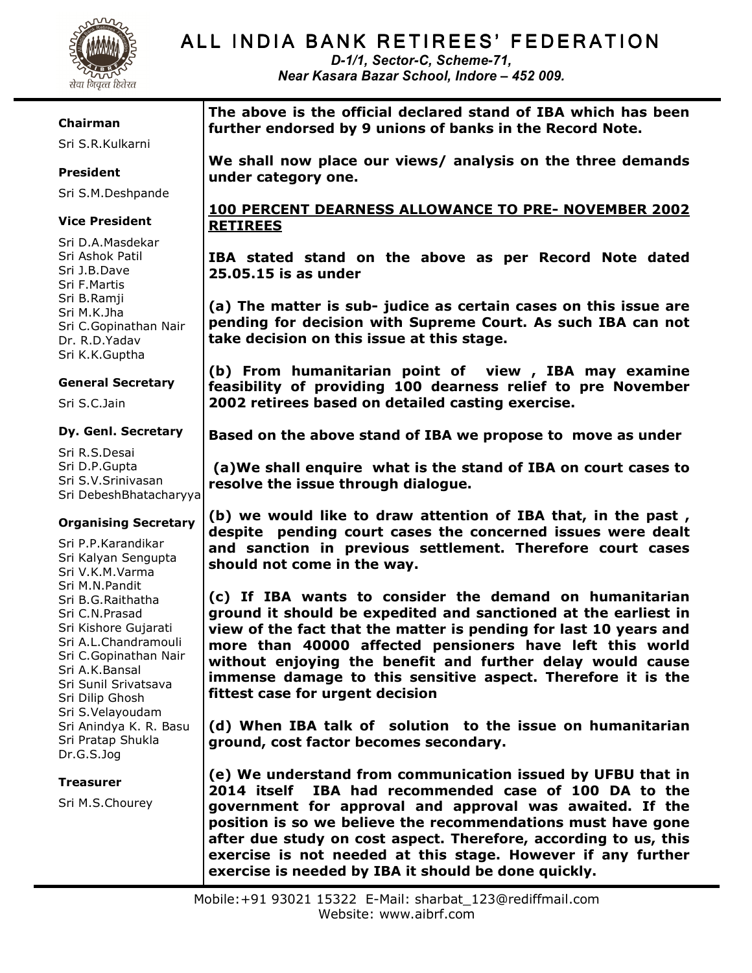

D-1/1, Sector-C, Scheme-71, Near Kasara Bazar School, Indore – 452 009.

#### Chairman

Sri S.R.Kulkarni

# President

Sri S.M.Deshpande

### Vice President

Sri D.A.Masdekar Sri Ashok Patil Sri J.B.Dave Sri F.Martis Sri B.Ramji Sri M.K.Jha Sri C.Gopinathan Nair Dr. R.D.Yadav Sri K.K.Guptha

#### General Secretary

Sri S.C.Jain

#### Dy. Genl. Secretary

Sri R.S.Desai Sri D.P.Gupta Sri S.V.Srinivasan Sri DebeshBhatacharyya

# Organising Secretary

Sri P.P.Karandikar Sri Kalyan Sengupta Sri V.K.M.Varma Sri M.N.Pandit Sri B.G.Raithatha Sri C.N.Prasad Sri Kishore Gujarati Sri A.L.Chandramouli Sri C.Gopinathan Nair Sri A.K.Bansal Sri Sunil Srivatsava Sri Dilip Ghosh Sri S.Velayoudam Sri Anindya K. R. Basu Sri Pratap Shukla Dr.G.S.Jog

#### Treasurer

Sri M.S.Chourey

The above is the official declared stand of IBA which has been further endorsed by 9 unions of banks in the Record Note.

We shall now place our views/ analysis on the three demands under category one.

# 100 PERCENT DEARNESS ALLOWANCE TO PRE- NOVEMBER 2002 RETIREES

IBA stated stand on the above as per Record Note dated 25.05.15 is as under

(a) The matter is sub- judice as certain cases on this issue are pending for decision with Supreme Court. As such IBA can not take decision on this issue at this stage.

(b) From humanitarian point of view , IBA may examine feasibility of providing 100 dearness relief to pre November 2002 retirees based on detailed casting exercise.

Based on the above stand of IBA we propose to move as under

 (a)We shall enquire what is the stand of IBA on court cases to resolve the issue through dialogue.

(b) we would like to draw attention of IBA that, in the past , despite pending court cases the concerned issues were dealt and sanction in previous settlement. Therefore court cases should not come in the way.

(c) If IBA wants to consider the demand on humanitarian ground it should be expedited and sanctioned at the earliest in view of the fact that the matter is pending for last 10 years and more than 40000 affected pensioners have left this world without enjoying the benefit and further delay would cause immense damage to this sensitive aspect. Therefore it is the fittest case for urgent decision

(d) When IBA talk of solution to the issue on humanitarian ground, cost factor becomes secondary.

(e) We understand from communication issued by UFBU that in 2014 itself IBA had recommended case of 100 DA to the government for approval and approval was awaited. If the position is so we believe the recommendations must have gone after due study on cost aspect. Therefore, according to us, this exercise is not needed at this stage. However if any further exercise is needed by IBA it should be done quickly.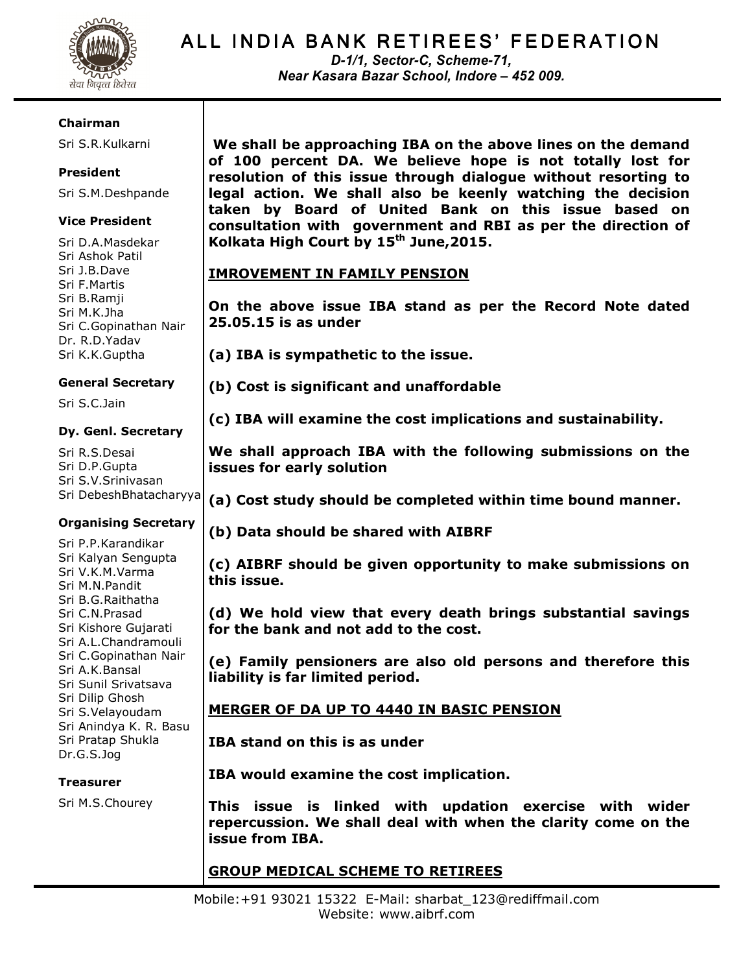

D-1/1, Sector-C, Scheme-71, Near Kasara Bazar School, Indore – 452 009.

#### Chairman

Sri S.R.Kulkarni

# President

Sri S.M.Deshpande

# Vice President

Sri D.A.Masdekar Sri Ashok Patil Sri J.B.Dave Sri F.Martis Sri B.Ramji Sri M.K.Jha Sri C.Gopinathan Nair Dr. R.D.Yadav Sri K.K.Guptha

# General Secretary

Sri S.C.Jain

#### Dy. Genl. Secretary

Sri R.S.Desai Sri D.P.Gupta Sri S.V.Srinivasan Sri DebeshBhatacharyya

# Organising Secretary

Sri P.P.Karandikar Sri Kalyan Sengupta Sri V.K.M.Varma Sri M.N.Pandit Sri B.G.Raithatha Sri C.N.Prasad Sri Kishore Gujarati Sri A.L.Chandramouli Sri C.Gopinathan Nair Sri A.K.Bansal Sri Sunil Srivatsava Sri Dilip Ghosh Sri S.Velayoudam Sri Anindya K. R. Basu Sri Pratap Shukla Dr.G.S.Jog

# Treasurer

Sri M.S.Chourey

 We shall be approaching IBA on the above lines on the demand of 100 percent DA. We believe hope is not totally lost for resolution of this issue through dialogue without resorting to legal action. We shall also be keenly watching the decision taken by Board of United Bank on this issue based on consultation with government and RBI as per the direction of Kolkata High Court by  $15<sup>th</sup>$  June, 2015.

# IMROVEMENT IN FAMILY PENSION

On the above issue IBA stand as per the Record Note dated 25.05.15 is as under

(a) IBA is sympathetic to the issue.

(b) Cost is significant and unaffordable

(c) IBA will examine the cost implications and sustainability.

We shall approach IBA with the following submissions on the issues for early solution

(a) Cost study should be completed within time bound manner.

# (b) Data should be shared with AIBRF

(c) AIBRF should be given opportunity to make submissions on this issue.

(d) We hold view that every death brings substantial savings for the bank and not add to the cost.

(e) Family pensioners are also old persons and therefore this liability is far limited period.

# MERGER OF DA UP TO 4440 IN BASIC PENSION

IBA stand on this is as under

IBA would examine the cost implication.

This issue is linked with updation exercise with wider repercussion. We shall deal with when the clarity come on the issue from IBA.

# GROUP MEDICAL SCHEME TO RETIREES